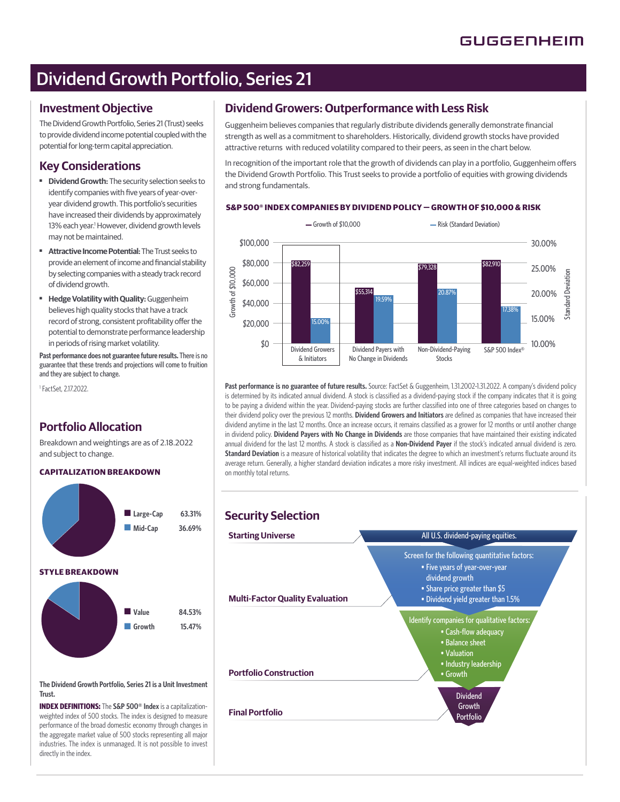# Dividend Growth Portfolio, Series 21

## **Investment Objective**

The Dividend Growth Portfolio, Series 21 (Trust) seeks to provide dividend income potential coupled with the potential for long-term capital appreciation.

## **Key Considerations**

- ■ **Dividend Growth:** The security selection seeks to identify companies with five years of year-overyear dividend growth. This portfolio's securities have increased their dividends by approximately 13% each year.<sup>1</sup> However, dividend growth levels may not be maintained.
- ■ **Attractive Income Potential:** The Trust seeks to provide an element of income and financial stability by selecting companies with a steady track record of dividend growth.
- ■ **Hedge Volatility with Quality:** Guggenheim believes high quality stocks that have a track record of strong, consistent profitability offer the potential to demonstrate performance leadership in periods of rising market volatility.

**Past performance does not guarantee future results.** There is no guarantee that these trends and projections will come to fruition and they are subject to change.

1 FactSet, 2.17.2022.

# **Portfolio Allocation**

Breakdown and weightings are as of 2.18.2022 and subject to change.

## **CAPITALIZATION BREAKDOWN**



**The Dividend Growth Portfolio, Series 21 is a Unit Investment Trust.** 

**INDEX DEFINITIONS:** The **S&P 500® Index** is a capitalizationweighted index of 500 stocks. The index is designed to measure performance of the broad domestic economy through changes in the aggregate market value of 500 stocks representing all major industries. The index is unmanaged. It is not possible to invest directly in the index.

# **Dividend Growers: Outperformance with Less Risk**

Guggenheim believes companies that regularly distribute dividends generally demonstrate financial strength as well as a commitment to shareholders. Historically, dividend growth stocks have provided attractive returns with reduced volatility compared to their peers, as seen in the chart below.

In recognition of the important role that the growth of dividends can play in a portfolio, Guggenheim offers the Dividend Growth Portfolio. This Trust seeks to provide a portfolio of equities with growing dividends and strong fundamentals.

### **S&P 500® INDEX COMPANIES BY DIVIDEND POLICY — GROWTH OF \$10,000 & RISK**



Past performance is no guarantee of future results. Source: FactSet & Guggenheim, 1.31.2002-1.31.2022. A company's dividend policy is determined by its indicated annual dividend. A stock is classified as a dividend-paying stock if the company indicates that it is going to be paying a dividend within the year. Dividend-paying stocks are further classified into one of three categories based on changes to their dividend policy over the previous 12 months. **Dividend Growers and Initiators** are defined as companies that have increased their dividend anytime in the last 12 months. Once an increase occurs, it remains classified as a grower for 12 months or until another change in dividend policy. **Dividend Payers with No Change in Dividends** are those companies that have maintained their existing indicated annual dividend for the last 12 months. A stock is classified as a **Non-Dividend Payer** if the stock's indicated annual dividend is zero. Standard Deviation is a measure of historical volatility that indicates the degree to which an investment's returns fluctuate around its average return. Generally, a higher standard deviation indicates a more risky investment. All indices are equal-weighted indices based on monthly total returns.